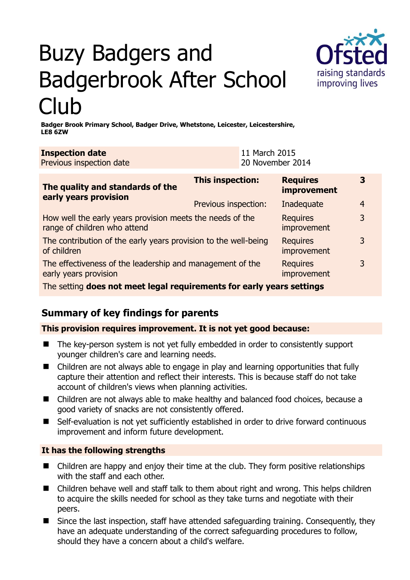# Buzy Badgers and Badgerbrook After School Club



**Badger Brook Primary School, Badger Drive, Whetstone, Leicester, Leicestershire, LE8 6ZW** 

| <b>Inspection date</b><br>Previous inspection date                                        | 11 March 2015<br>20 November 2014 |                                       |                |
|-------------------------------------------------------------------------------------------|-----------------------------------|---------------------------------------|----------------|
| The quality and standards of the<br>early years provision                                 | This inspection:                  | <b>Requires</b><br><b>improvement</b> | 3              |
|                                                                                           | Previous inspection:              | Inadequate                            | $\overline{4}$ |
| How well the early years provision meets the needs of the<br>range of children who attend |                                   | <b>Requires</b><br>improvement        | 3              |
| The contribution of the early years provision to the well-being<br>of children            |                                   | <b>Requires</b><br>improvement        | 3              |
| The effectiveness of the leadership and management of the<br>early years provision        |                                   | <b>Requires</b><br>improvement        | 3              |
| The setting does not meet legal requirements for early years settings                     |                                   |                                       |                |

## **Summary of key findings for parents**

**This provision requires improvement. It is not yet good because:** 

- The key-person system is not yet fully embedded in order to consistently support younger children's care and learning needs.
- Children are not always able to engage in play and learning opportunities that fully capture their attention and reflect their interests. This is because staff do not take account of children's views when planning activities.
- Children are not always able to make healthy and balanced food choices, because a good variety of snacks are not consistently offered.
- Self-evaluation is not yet sufficiently established in order to drive forward continuous improvement and inform future development.

### **It has the following strengths**

- Children are happy and enjoy their time at the club. They form positive relationships with the staff and each other.
- Children behave well and staff talk to them about right and wrong. This helps children to acquire the skills needed for school as they take turns and negotiate with their peers.
- Since the last inspection, staff have attended safeguarding training. Consequently, they have an adequate understanding of the correct safeguarding procedures to follow, should they have a concern about a child's welfare.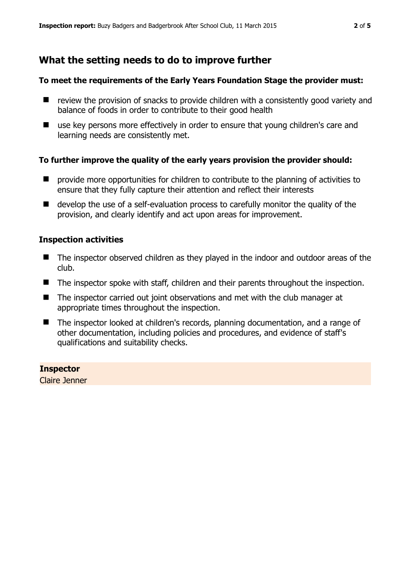## **What the setting needs to do to improve further**

#### **To meet the requirements of the Early Years Foundation Stage the provider must:**

- $\blacksquare$  review the provision of snacks to provide children with a consistently good variety and balance of foods in order to contribute to their good health
- use key persons more effectively in order to ensure that young children's care and learning needs are consistently met.

#### **To further improve the quality of the early years provision the provider should:**

- **P** provide more opportunities for children to contribute to the planning of activities to ensure that they fully capture their attention and reflect their interests
- develop the use of a self-evaluation process to carefully monitor the quality of the provision, and clearly identify and act upon areas for improvement.

#### **Inspection activities**

- The inspector observed children as they played in the indoor and outdoor areas of the club.
- The inspector spoke with staff, children and their parents throughout the inspection.
- The inspector carried out joint observations and met with the club manager at appropriate times throughout the inspection.
- The inspector looked at children's records, planning documentation, and a range of other documentation, including policies and procedures, and evidence of staff's qualifications and suitability checks.

#### **Inspector**

Claire Jenner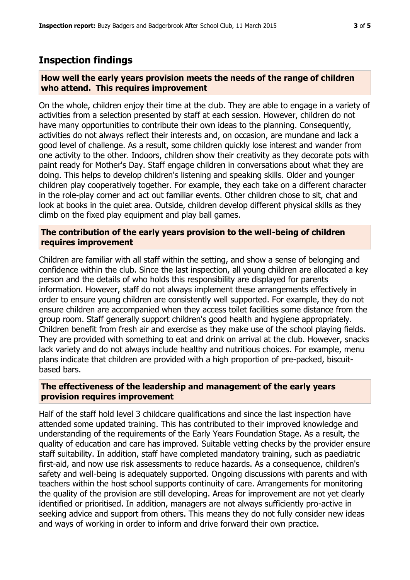## **Inspection findings**

#### **How well the early years provision meets the needs of the range of children who attend. This requires improvement**

On the whole, children enjoy their time at the club. They are able to engage in a variety of activities from a selection presented by staff at each session. However, children do not have many opportunities to contribute their own ideas to the planning. Consequently, activities do not always reflect their interests and, on occasion, are mundane and lack a good level of challenge. As a result, some children quickly lose interest and wander from one activity to the other. Indoors, children show their creativity as they decorate pots with paint ready for Mother's Day. Staff engage children in conversations about what they are doing. This helps to develop children's listening and speaking skills. Older and younger children play cooperatively together. For example, they each take on a different character in the role-play corner and act out familiar events. Other children chose to sit, chat and look at books in the quiet area. Outside, children develop different physical skills as they climb on the fixed play equipment and play ball games.

#### **The contribution of the early years provision to the well-being of children requires improvement**

Children are familiar with all staff within the setting, and show a sense of belonging and confidence within the club. Since the last inspection, all young children are allocated a key person and the details of who holds this responsibility are displayed for parents information. However, staff do not always implement these arrangements effectively in order to ensure young children are consistently well supported. For example, they do not ensure children are accompanied when they access toilet facilities some distance from the group room. Staff generally support children's good health and hygiene appropriately. Children benefit from fresh air and exercise as they make use of the school playing fields. They are provided with something to eat and drink on arrival at the club. However, snacks lack variety and do not always include healthy and nutritious choices. For example, menu plans indicate that children are provided with a high proportion of pre-packed, biscuitbased bars.

#### **The effectiveness of the leadership and management of the early years provision requires improvement**

Half of the staff hold level 3 childcare qualifications and since the last inspection have attended some updated training. This has contributed to their improved knowledge and understanding of the requirements of the Early Years Foundation Stage. As a result, the quality of education and care has improved. Suitable vetting checks by the provider ensure staff suitability. In addition, staff have completed mandatory training, such as paediatric first-aid, and now use risk assessments to reduce hazards. As a consequence, children's safety and well-being is adequately supported. Ongoing discussions with parents and with teachers within the host school supports continuity of care. Arrangements for monitoring the quality of the provision are still developing. Areas for improvement are not yet clearly identified or prioritised. In addition, managers are not always sufficiently pro-active in seeking advice and support from others. This means they do not fully consider new ideas and ways of working in order to inform and drive forward their own practice.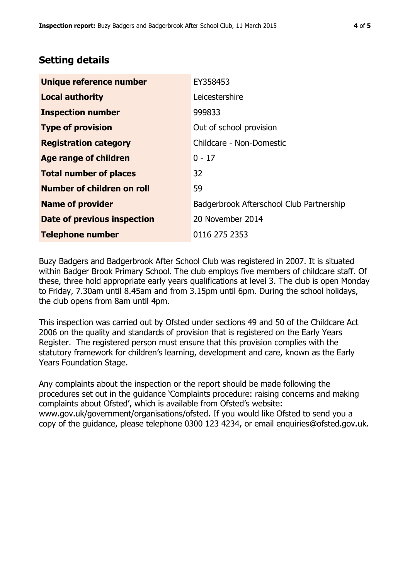## **Setting details**

| Unique reference number            | EY358453                                 |  |
|------------------------------------|------------------------------------------|--|
| <b>Local authority</b>             | Leicestershire                           |  |
| <b>Inspection number</b>           | 999833                                   |  |
| <b>Type of provision</b>           | Out of school provision                  |  |
| <b>Registration category</b>       | Childcare - Non-Domestic                 |  |
| <b>Age range of children</b>       | $0 - 17$                                 |  |
| <b>Total number of places</b>      | 32                                       |  |
| Number of children on roll         | 59                                       |  |
| <b>Name of provider</b>            | Badgerbrook Afterschool Club Partnership |  |
| <b>Date of previous inspection</b> | 20 November 2014                         |  |
| <b>Telephone number</b>            | 0116 275 2353                            |  |

Buzy Badgers and Badgerbrook After School Club was registered in 2007. It is situated within Badger Brook Primary School. The club employs five members of childcare staff. Of these, three hold appropriate early years qualifications at level 3. The club is open Monday to Friday, 7.30am until 8.45am and from 3.15pm until 6pm. During the school holidays, the club opens from 8am until 4pm.

This inspection was carried out by Ofsted under sections 49 and 50 of the Childcare Act 2006 on the quality and standards of provision that is registered on the Early Years Register. The registered person must ensure that this provision complies with the statutory framework for children's learning, development and care, known as the Early Years Foundation Stage.

Any complaints about the inspection or the report should be made following the procedures set out in the guidance 'Complaints procedure: raising concerns and making complaints about Ofsted', which is available from Ofsted's website: www.gov.uk/government/organisations/ofsted. If you would like Ofsted to send you a copy of the guidance, please telephone 0300 123 4234, or email enquiries@ofsted.gov.uk.